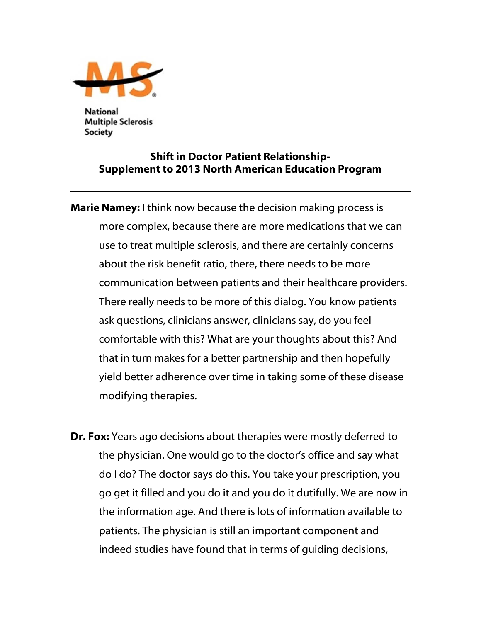

National **Multiple Sclerosis** Society

## Shift in Doctor Patient Relationship-Supplement to 2013 North American Education Program

**Marie Namey:** I think now because the decision making process is more complex, because there are more medications that we can use to treat multiple sclerosis, and there are certainly concerns about the risk benefit ratio, there, there needs to be more communication between patients and their healthcare providers. There really needs to be more of this dialog. You know patients ask questions, clinicians answer, clinicians say, do you feel comfortable with this? What are your thoughts about this? And that in turn makes for a better partnership and then hopefully yield better adherence over time in taking some of these disease modifying therapies.

**Dr. Fox:** Years ago decisions about therapies were mostly deferred to the physician. One would go to the doctor's office and say what do I do? The doctor says do this. You take your prescription, you go get it filled and you do it and you do it dutifully. We are now in the information age. And there is lots of information available to patients. The physician is still an important component and indeed studies have found that in terms of guiding decisions,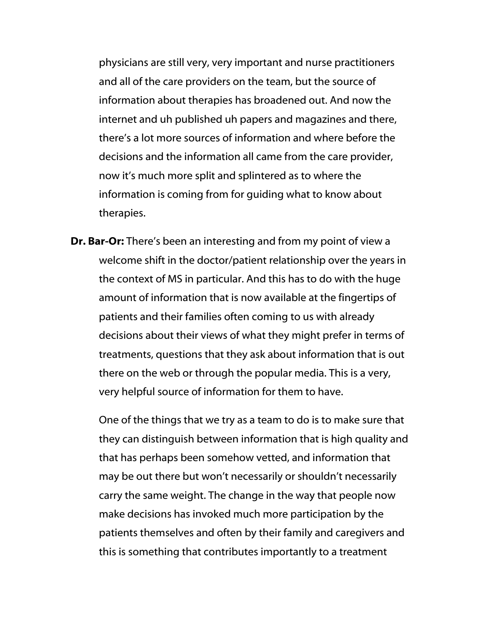physicians are still very, very important and nurse practitioners and all of the care providers on the team, but the source of information about therapies has broadened out. And now the internet and uh published uh papers and magazines and there, there's a lot more sources of information and where before the decisions and the information all came from the care provider, now it's much more split and splintered as to where the information is coming from for guiding what to know about therapies.

Dr. Bar-Or: There's been an interesting and from my point of view a welcome shift in the doctor/patient relationship over the years in the context of MS in particular. And this has to do with the huge amount of information that is now available at the fingertips of patients and their families often coming to us with already decisions about their views of what they might prefer in terms of treatments, questions that they ask about information that is out there on the web or through the popular media. This is a very, very helpful source of information for them to have.

 One of the things that we try as a team to do is to make sure that they can distinguish between information that is high quality and that has perhaps been somehow vetted, and information that may be out there but won't necessarily or shouldn't necessarily carry the same weight. The change in the way that people now make decisions has invoked much more participation by the patients themselves and often by their family and caregivers and this is something that contributes importantly to a treatment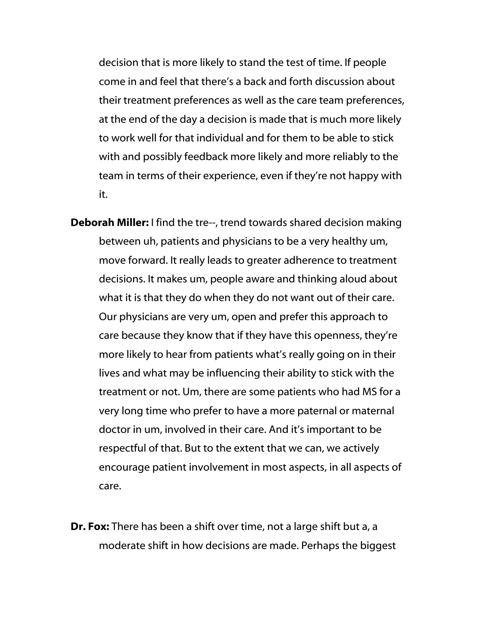decision that is more likely to stand the test of time. If people come in and feel that there's a back and forth discussion about their treatment preferences as well as the care team preferences, at the end of the day a decision is made that is much more likely to work well for that individual and for them to be able to stick with and possibly feedback more likely and more reliably to the team in terms of their experience, even if they're not happy with it.

- Deborah Miller: I find the tre--, trend towards shared decision making between uh, patients and physicians to be a very healthy um, move forward. It really leads to greater adherence to treatment decisions. It makes um, people aware and thinking aloud about what it is that they do when they do not want out of their care. Our physicians are very um, open and prefer this approach to care because they know that if they have this openness, they're more likely to hear from patients what's really going on in their lives and what may be influencing their ability to stick with the treatment or not. Um, there are some patients who had MS for a very long time who prefer to have a more paternal or maternal doctor in um, involved in their care. And it's important to be respectful of that. But to the extent that we can, we actively encourage patient involvement in most aspects, in all aspects of care.
- **Dr. Fox:** There has been a shift over time, not a large shift but a, a moderate shift in how decisions are made. Perhaps the biggest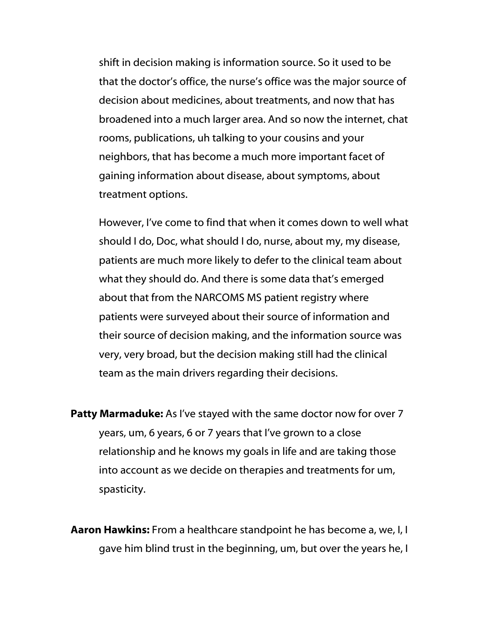shift in decision making is information source. So it used to be that the doctor's office, the nurse's office was the major source of decision about medicines, about treatments, and now that has broadened into a much larger area. And so now the internet, chat rooms, publications, uh talking to your cousins and your neighbors, that has become a much more important facet of gaining information about disease, about symptoms, about treatment options.

However, I've come to find that when it comes down to well what should I do, Doc, what should I do, nurse, about my, my disease, patients are much more likely to defer to the clinical team about what they should do. And there is some data that's emerged about that from the NARCOMS MS patient registry where patients were surveyed about their source of information and their source of decision making, and the information source was very, very broad, but the decision making still had the clinical team as the main drivers regarding their decisions.

Patty Marmaduke: As I've stayed with the same doctor now for over 7 years, um, 6 years, 6 or 7 years that I've grown to a close relationship and he knows my goals in life and are taking those into account as we decide on therapies and treatments for um, spasticity.

**Aaron Hawkins:** From a healthcare standpoint he has become a, we, I, I gave him blind trust in the beginning, um, but over the years he, I